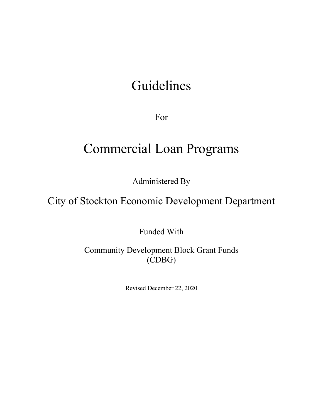# Guidelines

For

# Commercial Loan Programs

Administered By

City of Stockton Economic Development Department

Funded With

Community Development Block Grant Funds (CDBG)

Revised December 22, 2020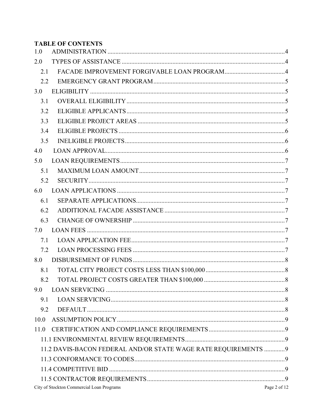# **TABLE OF CONTENTS**

| 1.0  |                                                                 |  |  |  |
|------|-----------------------------------------------------------------|--|--|--|
| 2.0  |                                                                 |  |  |  |
| 2.1  |                                                                 |  |  |  |
| 2.2  |                                                                 |  |  |  |
| 3.0  |                                                                 |  |  |  |
| 3.1  |                                                                 |  |  |  |
| 3.2  |                                                                 |  |  |  |
| 3.3  |                                                                 |  |  |  |
| 3.4  |                                                                 |  |  |  |
| 3.5  |                                                                 |  |  |  |
| 4.0  |                                                                 |  |  |  |
| 5.0  |                                                                 |  |  |  |
| 5.1  |                                                                 |  |  |  |
| 5.2  |                                                                 |  |  |  |
| 6.0  |                                                                 |  |  |  |
| 6.1  |                                                                 |  |  |  |
| 6.2  |                                                                 |  |  |  |
| 6.3  |                                                                 |  |  |  |
| 7.0  |                                                                 |  |  |  |
| 7.1  |                                                                 |  |  |  |
| 7.2  |                                                                 |  |  |  |
| 8.0  |                                                                 |  |  |  |
| 8.1  |                                                                 |  |  |  |
| 8.2  |                                                                 |  |  |  |
| 9.0  |                                                                 |  |  |  |
| 9.1  |                                                                 |  |  |  |
| 9.2  |                                                                 |  |  |  |
| 10.0 |                                                                 |  |  |  |
| 11.0 |                                                                 |  |  |  |
|      |                                                                 |  |  |  |
|      | 11.2 DAVIS-BACON FEDERAL AND/OR STATE WAGE RATE REQUIREMENTS  9 |  |  |  |
|      |                                                                 |  |  |  |
|      |                                                                 |  |  |  |
|      |                                                                 |  |  |  |
|      | City of Stockton Commercial Loan Programs<br>Page 2 of 12       |  |  |  |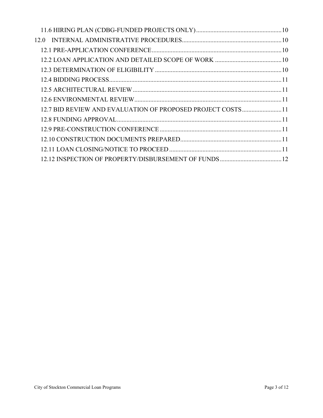| 12.0 |                                                            |  |
|------|------------------------------------------------------------|--|
|      |                                                            |  |
|      |                                                            |  |
|      |                                                            |  |
|      |                                                            |  |
|      |                                                            |  |
|      |                                                            |  |
|      | 12.7 BID REVIEW AND EVALUATION OF PROPOSED PROJECT COSTS11 |  |
|      |                                                            |  |
|      |                                                            |  |
|      |                                                            |  |
|      |                                                            |  |
|      |                                                            |  |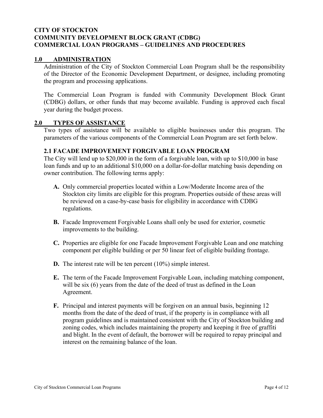#### **CITY OF STOCKTON COMMUNITY DEVELOPMENT BLOCK GRANT (CDBG) COMMERCIAL LOAN PROGRAMS – GUIDELINES AND PROCEDURES**

## <span id="page-3-0"></span>**1.0 ADMINISTRATION**

Administration of the City of Stockton Commercial Loan Program shall be the responsibility of the Director of the Economic Development Department, or designee, including promoting the program and processing applications.

The Commercial Loan Program is funded with Community Development Block Grant (CDBG) dollars, or other funds that may become available. Funding is approved each fiscal year during the budget process.

#### <span id="page-3-1"></span>**2.0 TYPES OF ASSISTANCE**

Two types of assistance will be available to eligible businesses under this program. The parameters of the various components of the Commercial Loan Program are set forth below.

#### <span id="page-3-2"></span>**2.1 FACADE IMPROVEMENT FORGIVABLE LOAN PROGRAM**

The City will lend up to \$20,000 in the form of a forgivable loan, with up to \$10,000 in base loan funds and up to an additional \$10,000 on a dollar-for-dollar matching basis depending on owner contribution. The following terms apply:

- **A.** Only commercial properties located within a Low/Moderate Income area of the Stockton city limits are eligible for this program. Properties outside of these areas will be reviewed on a case-by-case basis for eligibility in accordance with CDBG regulations.
- **B.** Facade Improvement Forgivable Loans shall only be used for exterior, cosmetic improvements to the building.
- **C.** Properties are eligible for one Facade Improvement Forgivable Loan and one matching component per eligible building or per 50 linear feet of eligible building frontage.
- **D.** The interest rate will be ten percent (10%) simple interest.
- **E.** The term of the Facade Improvement Forgivable Loan, including matching component, will be six (6) years from the date of the deed of trust as defined in the Loan Agreement.
- **F.** Principal and interest payments will be forgiven on an annual basis, beginning 12 months from the date of the deed of trust, if the property is in compliance with all program guidelines and is maintained consistent with the City of Stockton building and zoning codes, which includes maintaining the property and keeping it free of graffiti and blight. In the event of default, the borrower will be required to repay principal and interest on the remaining balance of the loan.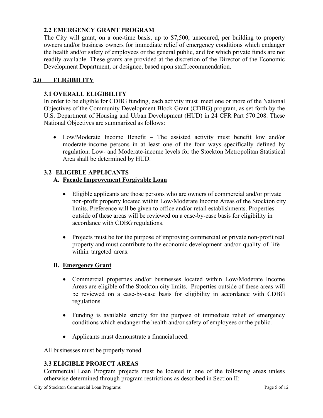## <span id="page-4-0"></span>**2.2 EMERGENCY GRANT PROGRAM**

The City will grant, on a one-time basis, up to \$7,500, unsecured, per building to property owners and/or business owners for immediate relief of emergency conditions which endanger the health and/or safety of employees or the general public, and for which private funds are not readily available. These grants are provided at the discretion of the Director of the Economic Development Department, or designee, based upon staff recommendation.

## <span id="page-4-1"></span>**3.0 ELIGIBILITY**

#### <span id="page-4-2"></span>**3.1 OVERALL ELIGIBILITY**

In order to be eligible for CDBG funding, each activity must meet one or more of the National Objectives of the Community Development Block Grant (CDBG) program, as set forth by the U.S. Department of Housing and Urban Development (HUD) in 24 CFR Part 570.208. These National Objectives are summarized as follows:

• Low/Moderate Income Benefit – The assisted activity must benefit low and/or moderate-income persons in at least one of the four ways specifically defined by regulation. Low- and Moderate-income levels for the Stockton Metropolitan Statistical Area shall be determined by HUD.

# <span id="page-4-3"></span>**3.2 ELIGIBLE APPLICANTS**

## **A. Facade Improvement Forgivable Loan**

- Eligible applicants are those persons who are owners of commercial and/or private non-profit property located within Low/Moderate Income Areas of the Stockton city limits. Preference will be given to office and/or retail establishments. Properties outside of these areas will be reviewed on a case-by-case basis for eligibility in accordance with CDBG regulations.
- Projects must be for the purpose of improving commercial or private non-profit real property and must contribute to the economic development and/or quality of life within targeted areas.

#### **B. Emergency Grant**

- Commercial properties and/or businesses located within Low/Moderate Income Areas are eligible of the Stockton city limits. Properties outside of these areas will be reviewed on a case-by-case basis for eligibility in accordance with CDBG regulations.
- Funding is available strictly for the purpose of immediate relief of emergency conditions which endanger the health and/or safety of employees or the public.
- Applicants must demonstrate a financial need.

All businesses must be properly zoned.

#### <span id="page-4-4"></span>**3.3 ELIGIBLE PROJECT AREAS**

Commercial Loan Program projects must be located in one of the following areas unless otherwise determined through program restrictions as described in Section II: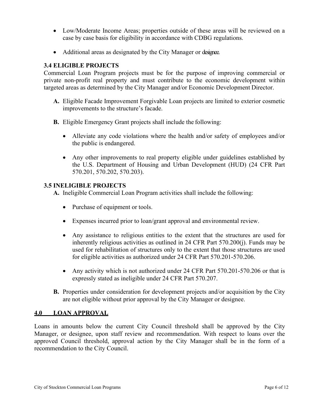- Low/Moderate Income Areas; properties outside of these areas will be reviewed on a case by case basis for eligibility in accordance with CDBG regulations.
- Additional areas as designated by the City Manager or designee.

## <span id="page-5-0"></span>**3.4 ELIGIBLE PROJECTS**

Commercial Loan Program projects must be for the purpose of improving commercial or private non-profit real property and must contribute to the economic development within targeted areas as determined by the City Manager and/or Economic Development Director.

- **A.** Eligible Facade Improvement Forgivable Loan projects are limited to exterior cosmetic improvements to the structure's facade.
- **B.** Eligible Emergency Grant projects shall include the following:
	- Alleviate any code violations where the health and/or safety of employees and/or the public is endangered.
	- Any other improvements to real property eligible under guidelines established by the U.S. Department of Housing and Urban Development (HUD) (24 CFR Part 570.201, 570.202, 570.203).

#### <span id="page-5-1"></span>**3.5 INELIGIBLE PROJECTS**

**A.** Ineligible Commercial Loan Program activities shall include the following:

- Purchase of equipment or tools.
- Expenses incurred prior to loan/grant approval and environmental review.
- Any assistance to religious entities to the extent that the structures are used for inherently religious activities as outlined in 24 CFR Part 570.200(j). Funds may be used for rehabilitation of structures only to the extent that those structures are used for eligible activities as authorized under 24 CFR Part 570.201-570.206.
- Any activity which is not authorized under 24 CFR Part 570.201-570.206 or that is expressly stated as ineligible under 24 CFR Part 570.207.
- **B.** Properties under consideration for development projects and/or acquisition by the City are not eligible without prior approval by the City Manager or designee.

#### <span id="page-5-2"></span>**4.0 LOAN APPROVAL**

<span id="page-5-3"></span>Loans in amounts below the current City Council threshold shall be approved by the City Manager, or designee, upon staff review and recommendation. With respect to loans over the approved Council threshold, approval action by the City Manager shall be in the form of a recommendation to the City Council.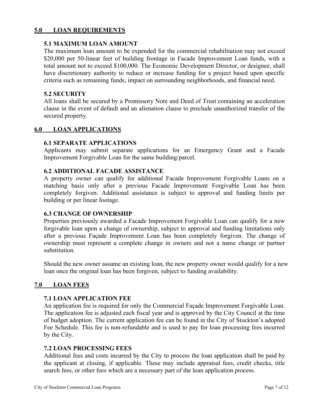## **5.0 LOAN REQUIREMENTS**

### <span id="page-6-0"></span>**5.1 MAXIMUM LOAN AMOUNT**

The maximum loan amount to be expended for the commercial rehabilitation may not exceed \$20,000 per 50-linear feet of building frontage in Facade Improvement Loan funds, with a total amount not to exceed \$100,000. The Economic Development Director, or designee, shall have discretionary authority to reduce or increase funding for a project based upon specific criteria such as remaining funds, impact on surrounding neighborhoods, and financial need.

## <span id="page-6-1"></span>**5.2 SECURITY**

All loans shall be secured by a Promissory Note and Deed of Trust containing an acceleration clause in the event of default and an alienation clause to preclude unauthorized transfer of the secured property.

## <span id="page-6-2"></span>**6.0 LOAN APPLICATIONS**

#### <span id="page-6-3"></span>**6.1 SEPARATE APPLICATIONS**

Applicants may submit separate applications for an Emergency Grant and a Facade Improvement Forgivable Loan for the same building/parcel.

## <span id="page-6-4"></span>**6.2 ADDITIONAL FACADE ASSISTANCE**

A property owner can qualify for additional Facade Improvement Forgivable Loans on a matching basis only after a previous Facade Improvement Forgivable Loan has been completely forgiven. Additional assistance is subject to approval and funding limits per building or per linear footage.

#### <span id="page-6-5"></span>**6.3 CHANGE OF OWNERSHIP**

Properties previously awarded a Facade Improvement Forgivable Loan can qualify for a new forgivable loan upon a change of ownership, subject to approval and funding limitations only after a previous Façade Improvement Loan has been completely forgiven. The change of ownership must represent a complete change in owners and not a name change or partner substitution.

Should the new owner assume an existing loan, the new property owner would qualify for a new loan once the original loan has been forgiven, subject to funding availability.

# <span id="page-6-6"></span>**7.0 LOAN FEES**

#### <span id="page-6-7"></span>**7.1 LOAN APPLICATION FEE**

An application fee is required for only the Commercial Façade Improvement Forgivable Loan. The application fee is adjusted each fiscal year and is approved by the City Council at the time of budget adoption. The current application fee can be found in the City of Stockton's adopted Fee Schedule. This fee is non-refundable and is used to pay for loan processing fees incurred by the City.

#### <span id="page-6-8"></span>**7.2 LOAN PROCESSING FEES**

Additional fees and costs incurred by the City to process the loan application shall be paid by the applicant at closing, if applicable. These may include appraisal fees, credit checks, title search fees, or other fees which are a necessary part of the loan application process.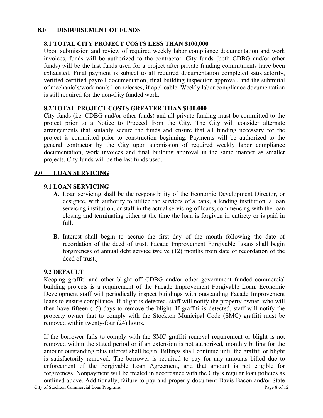#### <span id="page-7-0"></span>**8.0 DISBURSEMENT OF FUNDS**

## <span id="page-7-1"></span>**8.1 TOTAL CITY PROJECT COSTS LESS THAN \$100,000**

Upon submission and review of required weekly labor compliance documentation and work invoices, funds will be authorized to the contractor. City funds (both CDBG and/or other funds) will be the last funds used for a project after private funding commitments have been exhausted. Final payment is subject to all required documentation completed satisfactorily, verified certified payroll documentation, final building inspection approval, and the submittal of mechanic's/workman's lien releases, if applicable. Weekly labor compliance documentation is still required for the non-City funded work.

#### <span id="page-7-2"></span>**8.2 TOTAL PROJECT COSTS GREATER THAN \$100,000**

City funds (i.e. CDBG and/or other funds) and all private funding must be committed to the project prior to a Notice to Proceed from the City. The City will consider alternate arrangements that suitably secure the funds and ensure that all funding necessary for the project is committed prior to construction beginning. Payments will be authorized to the general contractor by the City upon submission of required weekly labor compliance documentation, work invoices and final building approval in the same manner as smaller projects. City funds will be the last funds used.

#### <span id="page-7-3"></span>**9.0 LOAN SERVICING**

#### <span id="page-7-4"></span>**9.1 LOAN SERVICING**

- **A.** Loan servicing shall be the responsibility of the Economic Development Director, or designee, with authority to utilize the services of a bank, a lending institution, a loan servicing institution, or staff in the actual servicing of loans, commencing with the loan closing and terminating either at the time the loan is forgiven in entirety or is paid in full.
- **B.** Interest shall begin to accrue the first day of the month following the date of recordation of the deed of trust. Facade Improvement Forgivable Loans shall begin forgiveness of annual debt service twelve (12) months from date of recordation of the deed of trust.

#### <span id="page-7-5"></span>**9.2 DEFAULT**

Keeping graffiti and other blight off CDBG and/or other government funded commercial building projects is a requirement of the Facade Improvement Forgivable Loan. Economic Development staff will periodically inspect buildings with outstanding Facade Improvement loans to ensure compliance. If blight is detected, staff will notify the property owner, who will then have fifteen (15) days to remove the blight. If graffiti is detected, staff will notify the property owner that to comply with the Stockton Municipal Code (SMC) graffiti must be removed within twenty-four (24) hours.

If the borrower fails to comply with the SMC graffiti removal requirement or blight is not removed within the stated period or if an extension is not authorized, monthly billing for the amount outstanding plus interest shall begin. Billings shall continue until the graffiti or blight is satisfactorily removed. The borrower is required to pay for any amounts billed due to enforcement of the Forgivable Loan Agreement, and that amount is not eligible for forgiveness. Nonpayment will be treated in accordance with the City's regular loan policies as outlined above. Additionally, failure to pay and properly document Davis-Bacon and/or State

City of Stockton Commercial Loan Programs Page 8 of 12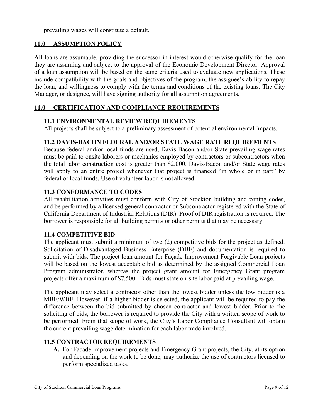prevailing wages will constitute a default.

#### <span id="page-8-0"></span>**10.0 ASSUMPTION POLICY**

All loans are assumable, providing the successor in interest would otherwise qualify for the loan they are assuming and subject to the approval of the Economic Development Director. Approval of a loan assumption will be based on the same criteria used to evaluate new applications. These include compatibility with the goals and objectives of the program, the assignee's ability to repay the loan, and willingness to comply with the terms and conditions of the existing loans. The City Manager, or designee, will have signing authority for all assumption agreements.

# <span id="page-8-1"></span>**11.0 CERTIFICATION AND COMPLIANCE REQUIREMENTS**

#### <span id="page-8-2"></span>**11.1 ENVIRONMENTAL REVIEW REQUIREMENTS**

All projects shall be subject to a preliminary assessment of potential environmental impacts.

#### <span id="page-8-3"></span>**11.2 DAVIS-BACON FEDERAL AND/OR STATE WAGE RATE REQUIREMENTS**

Because federal and/or local funds are used, Davis-Bacon and/or State prevailing wage rates must be paid to onsite laborers or mechanics employed by contractors or subcontractors when the total labor construction cost is greater than \$2,000. Davis-Bacon and/or State wage rates will apply to an entire project whenever that project is financed "in whole or in part" by federal or local funds. Use of volunteer labor is not allowed.

### <span id="page-8-4"></span>**11.3 CONFORMANCE TO CODES**

All rehabilitation activities must conform with City of Stockton building and zoning codes, and be performed by a licensed general contractor or Subcontractor registered with the State of California Department of Industrial Relations (DIR). Proof of DIR registration is required. The borrower is responsible for all building permits or other permits that may be necessary.

#### <span id="page-8-5"></span>**11.4 COMPETITIVE BID**

The applicant must submit a minimum of two (2) competitive bids for the project as defined. Solicitation of Disadvantaged Business Enterprise (DBE) and documentation is required to submit with bids. The project loan amount for Façade Improvement Forgivable Loan projects will be based on the lowest acceptable bid as determined by the assigned Commercial Loan Program administrator, whereas the project grant amount for Emergency Grant program projects offer a maximum of \$7,500. Bids must state on-site labor paid at prevailing wage.

The applicant may select a contractor other than the lowest bidder unless the low bidder is a MBE/WBE. However, if a higher bidder is selected, the applicant will be required to pay the difference between the bid submitted by chosen contractor and lowest bidder. Prior to the soliciting of bids, the borrower is required to provide the City with a written scope of work to be performed. From that scope of work, the City's Labor Compliance Consultant will obtain the current prevailing wage determination for each labor trade involved.

#### <span id="page-8-6"></span>**11.5 CONTRACTOR REQUIREMENTS**

**A.** For Facade Improvement projects and Emergency Grant projects, the City, at its option and depending on the work to be done, may authorize the use of contractors licensed to perform specialized tasks.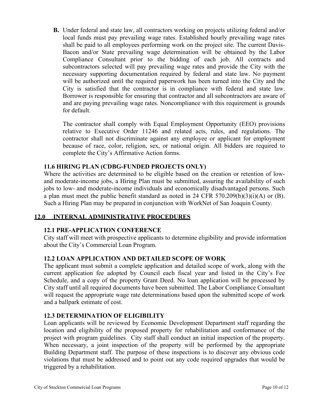**B.** Under federal and state law, all contractors working on projects utilizing federal and/or local funds must pay prevailing wage rates. Established hourly prevailing wage rates shall be paid to all employees performing work on the project site. The current Davis-Bacon and/or State prevailing wage determination will be obtained by the Labor Compliance Consultant prior to the bidding of each job. All contracts and subcontractors selected will pay prevailing wage rates and provide the City with the necessary supporting documentation required by federal and state law. No payment will be authorized until the required paperwork has been turned into the City and the City is satisfied that the contractor is in compliance with federal and state law. Borrower is responsible for ensuring that contractor and all subcontractors are aware of and are paying prevailing wage rates. Noncompliance with this requirement is grounds for default.

The contractor shall comply with Equal Employment Opportunity (EEO) provisions relative to Executive Order 11246 and related acts, rules, and regulations. The contractor shall not discriminate against any employee or applicant for employment because of race, color, religion, sex, or national origin. All bidders are required to complete the City's Affirmative Action forms.

# <span id="page-9-0"></span>**11.6 HIRING PLAN (CDBG-FUNDED PROJECTS ONLY)**

Where the activities are determined to be eligible based on the creation or retention of lowand moderate-income jobs, a Hiring Plan must be submitted, assuring the availability of such jobs to low- and moderate-income individuals and economically disadvantaged persons. Such a plan must meet the public benefit standard as noted in 24 CFR 570.209(b)(3)(i)(A) or (B). Such a Hiring Plan may be prepared in conjunction with WorkNet of San Joaquin County.

# <span id="page-9-1"></span>**12.0 INTERNAL ADMINISTRATIVE PROCEDURES**

# <span id="page-9-2"></span>**12.1 PRE-APPLICATION CONFERENCE**

City staff will meet with prospective applicants to determine eligibility and provide information about the City's Commercial Loan Program.

# <span id="page-9-3"></span>**12.2 LOAN APPLICATION AND DETAILED SCOPE OF WORK**

The applicant must submit a complete application and detailed scope of work, along with the current application fee adopted by Council each fiscal year and listed in the City's Fee Schedule, and a copy of the property Grant Deed. No loan application will be processed by City staff until all required documents have been submitted. The Labor Compliance Consultant will request the appropriate wage rate determinations based upon the submitted scope of work and a ballpark estimate of cost.

# <span id="page-9-4"></span>**12.3 DETERMINATION OF ELIGIBILITY**

Loan applicants will be reviewed by Economic Development Department staff regarding the location and eligibility of the proposed property for rehabilitation and conformance of the project with program guidelines. City staff shall conduct an initial inspection of the property. When necessary, a joint inspection of the property will be performed by the appropriate Building Department staff. The purpose of these inspections is to discover any obvious code violations that must be addressed and to point out any code required upgrades that would be triggered by a rehabilitation.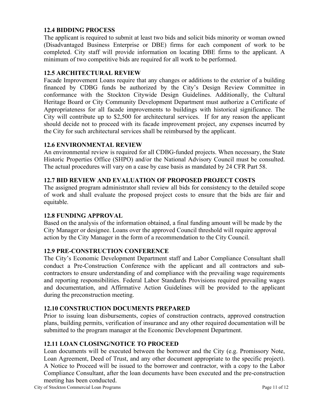## <span id="page-10-0"></span>**12.4 BIDDING PROCESS**

The applicant is required to submit at least two bids and solicit bids minority or woman owned (Disadvantaged Business Enterprise or DBE) firms for each component of work to be completed. City staff will provide information on locating DBE firms to the applicant. A minimum of two competitive bids are required for all work to be performed.

## <span id="page-10-1"></span>**12.5 ARCHITECTURAL REVIEW**

Facade Improvement Loans require that any changes or additions to the exterior of a building financed by CDBG funds be authorized by the City's Design Review Committee in conformance with the Stockton Citywide Design Guidelines. Additionally, the Cultural Heritage Board or City Community Development Department must authorize a Certificate of Appropriateness for all facade improvements to buildings with historical significance. The City will contribute up to \$2,500 for architectural services. If for any reason the applicant should decide not to proceed with its facade improvement project, any expenses incurred by the City for such architectural services shall be reimbursed by the applicant.

#### <span id="page-10-2"></span>**12.6 ENVIRONMENTAL REVIEW**

An environmental review is required for all CDBG-funded projects. When necessary, the State Historic Properties Office (SHPO) and/or the National Advisory Council must be consulted. The actual procedures will vary on a case by case basis as mandated by 24 CFR Part 58.

## <span id="page-10-3"></span>**12.7 BID REVIEW AND EVALUATION OF PROPOSED PROJECT COSTS**

The assigned program administrator shall review all bids for consistency to the detailed scope of work and shall evaluate the proposed project costs to ensure that the bids are fair and equitable.

#### <span id="page-10-4"></span>**12.8 FUNDING APPROVAL**

Based on the analysis of the information obtained, a final funding amount will be made by the City Manager or designee. Loans over the approved Council threshold will require approval action by the City Manager in the form of a recommendation to the City Council.

#### <span id="page-10-5"></span>**12.9 PRE-CONSTRUCTION CONFERENCE**

The City's Economic Development Department staff and Labor Compliance Consultant shall conduct a Pre-Construction Conference with the applicant and all contractors and subcontractors to ensure understanding of and compliance with the prevailing wage requirements and reporting responsibilities. Federal Labor Standards Provisions required prevailing wages and documentation, and Affirmative Action Guidelines will be provided to the applicant during the preconstruction meeting.

#### <span id="page-10-6"></span>**12.10 CONSTRUCTION DOCUMENTS PREPARED**

Prior to issuing loan disbursements, copies of construction contracts, approved construction plans, building permits, verification of insurance and any other required documentation will be submitted to the program manager at the Economic Development Department.

# <span id="page-10-7"></span>**12.11 LOAN CLOSING/NOTICE TO PROCEED**

Loan documents will be executed between the borrower and the City (e.g. Promissory Note, Loan Agreement, Deed of Trust, and any other document appropriate to the specific project). A Notice to Proceed will be issued to the borrower and contractor, with a copy to the Labor Compliance Consultant, after the loan documents have been executed and the pre-construction meeting has been conducted.